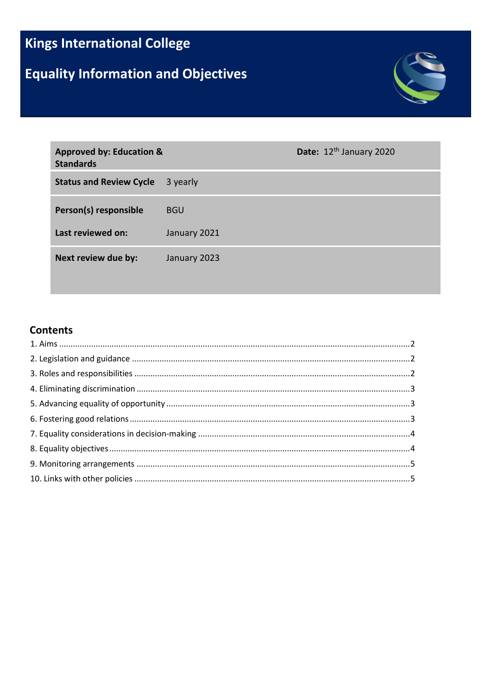# **Kings International College**

# **Equality Information and Objectives**



| <b>Approved by: Education &amp;</b><br><b>Standards</b> |              | Date: 12 <sup>th</sup> January 2020 |
|---------------------------------------------------------|--------------|-------------------------------------|
| <b>Status and Review Cycle</b>                          | 3 yearly     |                                     |
| Person(s) responsible                                   | <b>BGU</b>   |                                     |
| Last reviewed on:                                       | January 2021 |                                     |
| Next review due by:                                     | January 2023 |                                     |

#### **Contents**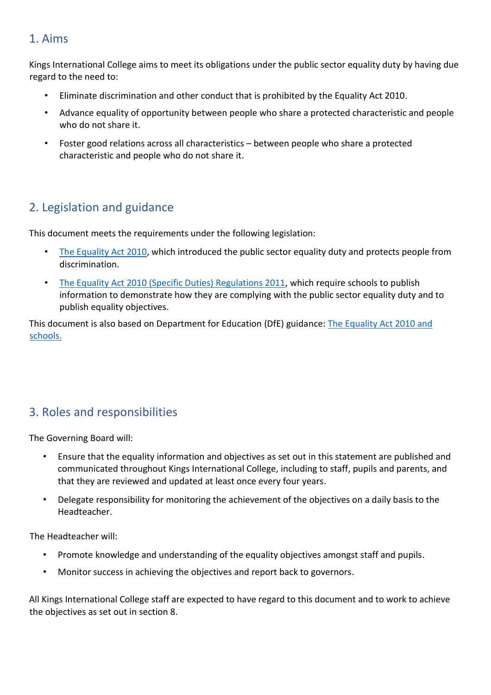#### <span id="page-1-0"></span>1. Aims

Kings International College aims to meet its obligations under the public sector equality duty by having due regard to the need to:

- Eliminate discrimination and other conduct that is prohibited by the Equality Act 2010.
- Advance equality of opportunity between people who share a protected characteristic and people who do not share it.
- Foster good relations across all characteristics between people who share a protected characteristic and people who do not share it.

## <span id="page-1-1"></span>2. Legislation and guidance

This document meets the requirements under the following legislation:

- [The Equality Act 2010,](http://www.legislation.gov.uk/ukpga/2010/15/contents) which introduced the public sector equality duty and protects people from discrimination.
- [The Equality Act 2010 \(Specific Duties\) Regulations 2011,](http://www.legislation.gov.uk/uksi/2011/2260/contents/made) which require schools to publish information to demonstrate how they are complying with the public sector equality duty and to publish equality objectives.

This document is also based on Department for Education (DfE) guidance[:](https://www.gov.uk/government/uploads/system/uploads/attachment_data/file/315587/Equality_Act_Advice_Final.pdf) [The Equality Act 2010 and](https://www.gov.uk/government/uploads/system/uploads/attachment_data/file/315587/Equality_Act_Advice_Final.pdf) [schools.](https://www.gov.uk/government/uploads/system/uploads/attachment_data/file/315587/Equality_Act_Advice_Final.pdf)

## <span id="page-1-2"></span>3. Roles and responsibilities

The Governing Board will:

- Ensure that the equality information and objectives as set out in this statement are published and communicated throughout Kings International College, including to staff, pupils and parents, and that they are reviewed and updated at least once every four years.
- Delegate responsibility for monitoring the achievement of the objectives on a daily basis to the Headteacher.

The Headteacher will:

- Promote knowledge and understanding of the equality objectives amongst staff and pupils.
- Monitor success in achieving the objectives and report back to governors.

All Kings International College staff are expected to have regard to this document and to work to achieve the objectives as set out in section 8.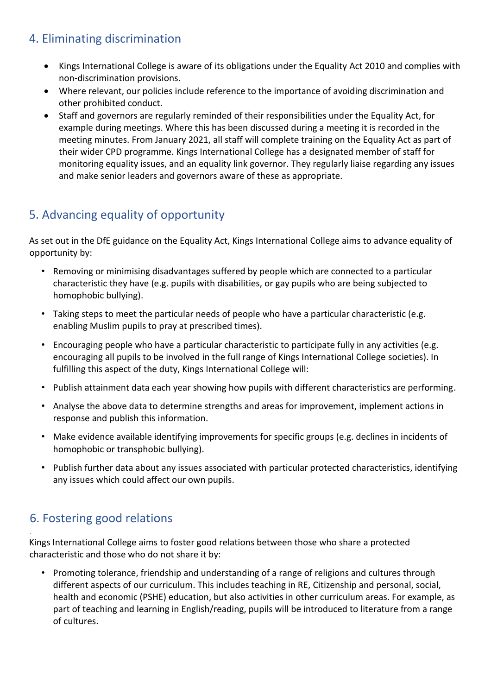#### <span id="page-2-0"></span>4. Eliminating discrimination

- Kings International College is aware of its obligations under the Equality Act 2010 and complies with non-discrimination provisions.
- Where relevant, our policies include reference to the importance of avoiding discrimination and other prohibited conduct.
- Staff and governors are regularly reminded of their responsibilities under the Equality Act, for example during meetings. Where this has been discussed during a meeting it is recorded in the meeting minutes. From January 2021, all staff will complete training on the Equality Act as part of their wider CPD programme. Kings International College has a designated member of staff for monitoring equality issues, and an equality link governor. They regularly liaise regarding any issues and make senior leaders and governors aware of these as appropriate.

## <span id="page-2-1"></span>5. Advancing equality of opportunity

As set out in the DfE guidance on the Equality Act, Kings International College aims to advance equality of opportunity by:

- Removing or minimising disadvantages suffered by people which are connected to a particular characteristic they have (e.g. pupils with disabilities, or gay pupils who are being subjected to homophobic bullying).
- Taking steps to meet the particular needs of people who have a particular characteristic (e.g. enabling Muslim pupils to pray at prescribed times).
- Encouraging people who have a particular characteristic to participate fully in any activities (e.g. encouraging all pupils to be involved in the full range of Kings International College societies). In fulfilling this aspect of the duty, Kings International College will:
- Publish attainment data each year showing how pupils with different characteristics are performing.
- Analyse the above data to determine strengths and areas for improvement, implement actions in response and publish this information.
- Make evidence available identifying improvements for specific groups (e.g. declines in incidents of homophobic or transphobic bullying).
- Publish further data about any issues associated with particular protected characteristics, identifying any issues which could affect our own pupils.

## <span id="page-2-2"></span>6. Fostering good relations

.

Kings International College aims to foster good relations between those who share a protected characteristic and those who do not share it by:

• Promoting tolerance, friendship and understanding of a range of religions and cultures through different aspects of our curriculum. This includes teaching in RE, Citizenship and personal, social, health and economic (PSHE) education, but also activities in other curriculum areas. For example, as part of teaching and learning in English/reading, pupils will be introduced to literature from a range of cultures.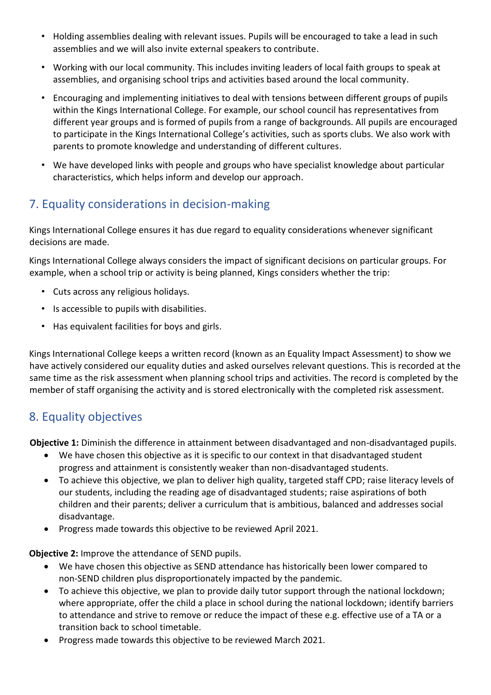- Holding assemblies dealing with relevant issues. Pupils will be encouraged to take a lead in such assemblies and we will also invite external speakers to contribute.
- Working with our local community. This includes inviting leaders of local faith groups to speak at assemblies, and organising school trips and activities based around the local community.
- Encouraging and implementing initiatives to deal with tensions between different groups of pupils within the Kings International College. For example, our school council has representatives from different year groups and is formed of pupils from a range of backgrounds. All pupils are encouraged to participate in the Kings International College's activities, such as sports clubs. We also work with parents to promote knowledge and understanding of different cultures.
- We have developed links with people and groups who have specialist knowledge about particular characteristics, which helps inform and develop our approach.

# <span id="page-3-0"></span>7. Equality considerations in decision-making

Kings International College ensures it has due regard to equality considerations whenever significant decisions are made.

Kings International College always considers the impact of significant decisions on particular groups. For example, when a school trip or activity is being planned, Kings considers whether the trip:

- Cuts across any religious holidays.
- Is accessible to pupils with disabilities.
- Has equivalent facilities for boys and girls.

Kings International College keeps a written record (known as an Equality Impact Assessment) to show we have actively considered our equality duties and asked ourselves relevant questions. This is recorded at the same time as the risk assessment when planning school trips and activities. The record is completed by the member of staff organising the activity and is stored electronically with the completed risk assessment.

#### <span id="page-3-1"></span>8. Equality objectives

**Objective 1:** Diminish the difference in attainment between disadvantaged and non-disadvantaged pupils.

- We have chosen this objective as it is specific to our context in that disadvantaged student progress and attainment is consistently weaker than non-disadvantaged students.
- To achieve this objective, we plan to deliver high quality, targeted staff CPD; raise literacy levels of our students, including the reading age of disadvantaged students; raise aspirations of both children and their parents; deliver a curriculum that is ambitious, balanced and addresses social disadvantage.
- Progress made towards this objective to be reviewed April 2021.

**Objective 2:** Improve the attendance of SEND pupils.

- We have chosen this objective as SEND attendance has historically been lower compared to non-SEND children plus disproportionately impacted by the pandemic.
- To achieve this objective, we plan to provide daily tutor support through the national lockdown; where appropriate, offer the child a place in school during the national lockdown; identify barriers to attendance and strive to remove or reduce the impact of these e.g. effective use of a TA or a transition back to school timetable.
- Progress made towards this objective to be reviewed March 2021.